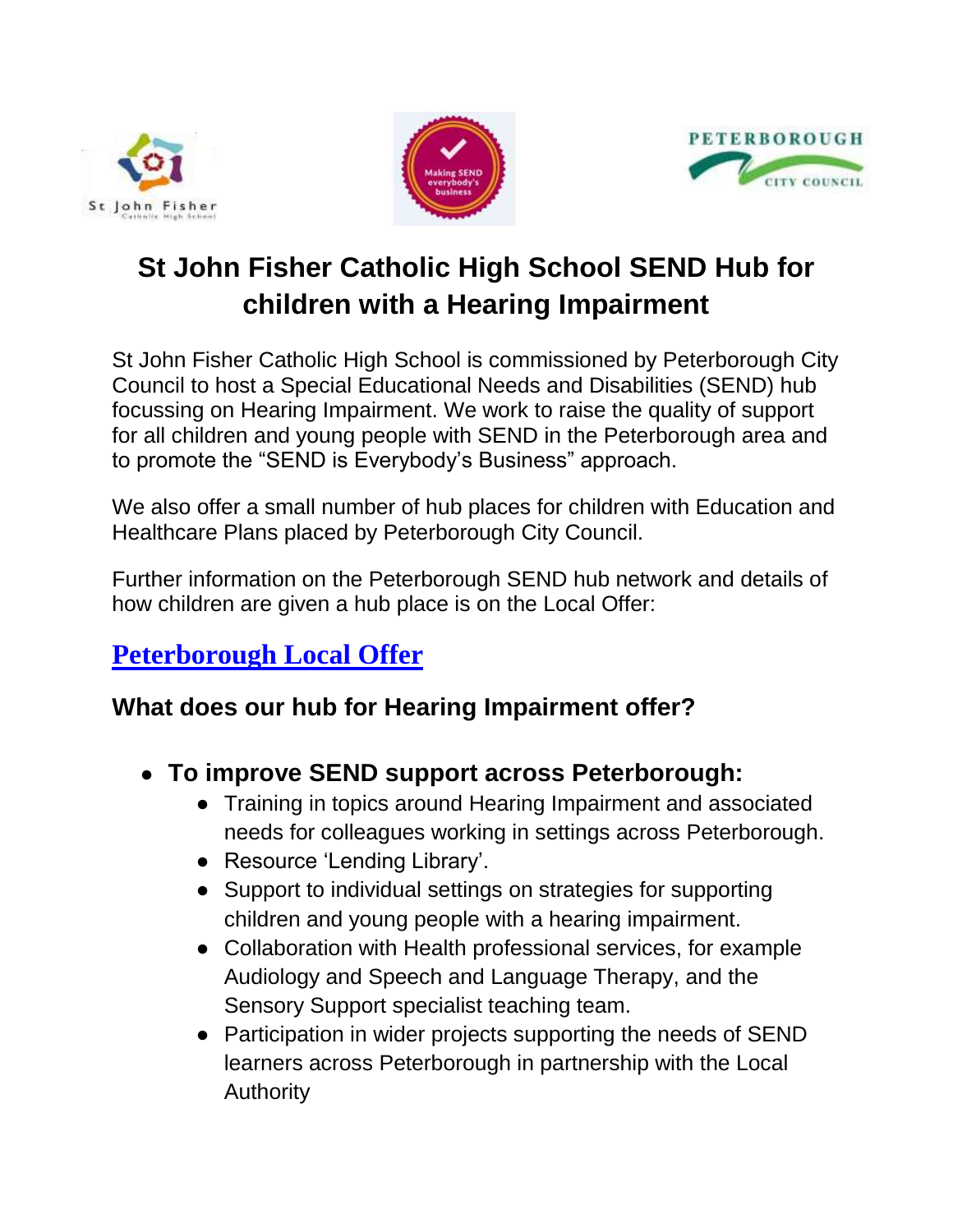





# **St John Fisher Catholic High School SEND Hub for children with a Hearing Impairment**

St John Fisher Catholic High School is commissioned by Peterborough City Council to host a Special Educational Needs and Disabilities (SEND) hub focussing on Hearing Impairment. We work to raise the quality of support for all children and young people with SEND in the Peterborough area and to promote the "SEND is Everybody's Business" approach.

We also offer a small number of hub places for children with Education and Healthcare Plans placed by Peterborough City Council.

Further information on the Peterborough SEND hub network and details of how children are given a hub place is on the Local Offer:

## **[Peterborough Local Offer](file://///OMA_dc/ADMIN/documents/work/SEN/Hub/fis.peterborough.gov.uk/kb5/peterborough/directory/localoffer.page%3ffamily%20channel=8)**

#### **What does our hub for Hearing Impairment offer?**

- **To improve SEND support across Peterborough:**
	- Training in topics around Hearing Impairment and associated needs for colleagues working in settings across Peterborough.
	- Resource 'Lending Library'.
	- Support to individual settings on strategies for supporting children and young people with a hearing impairment.
	- Collaboration with Health professional services, for example Audiology and Speech and Language Therapy, and the Sensory Support specialist teaching team.
	- Participation in wider projects supporting the needs of SEND learners across Peterborough in partnership with the Local Authority